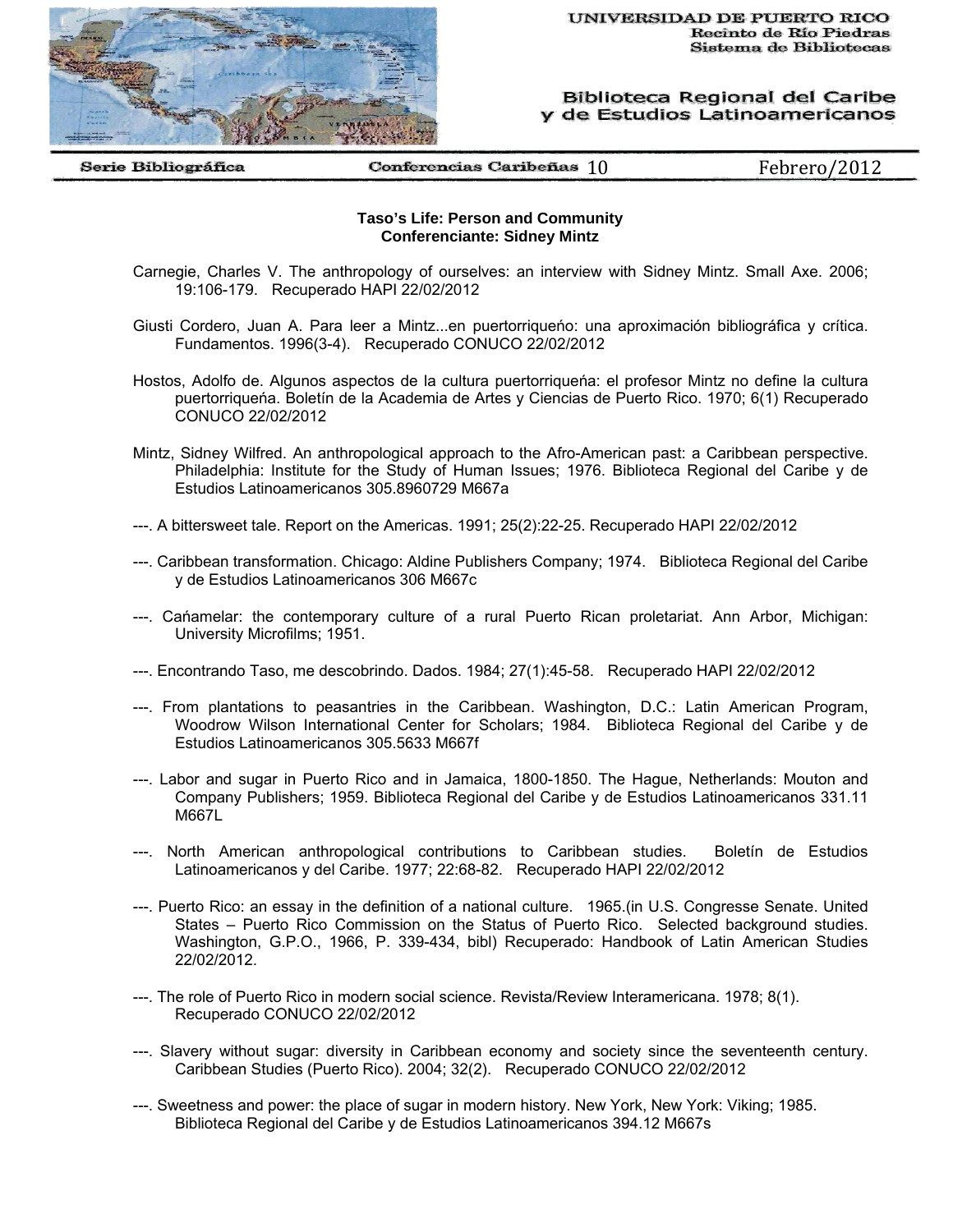

Biblioteca Regional del Caribe y de Estudios Latinoamericanos

Serie Bibliográfica

Conferencias Caribeñas  $10$  Febrero/2012

## **Taso's Life: Person and Community Conferenciante: Sidney Mintz**

- Carnegie, Charles V. The anthropology of ourselves: an interview with Sidney Mintz. Small Axe. 2006; 19:106-179. Recuperado HAPI 22/02/2012
- Giusti Cordero, Juan A. Para leer a Mintz...en puertorriqueńo: una aproximación bibliográfica y crítica. Fundamentos. 1996(3-4). Recuperado CONUCO 22/02/2012
- Hostos, Adolfo de. Algunos aspectos de la cultura puertorriqueńa: el profesor Mintz no define la cultura puertorriqueńa. Boletín de la Academia de Artes y Ciencias de Puerto Rico. 1970; 6(1) Recuperado CONUCO 22/02/2012
- Mintz, Sidney Wilfred. An anthropological approach to the Afro-American past: a Caribbean perspective. Philadelphia: Institute for the Study of Human Issues; 1976. Biblioteca Regional del Caribe y de Estudios Latinoamericanos 305.8960729 M667a
- ---. A bittersweet tale. Report on the Americas. 1991; 25(2):22-25. Recuperado HAPI 22/02/2012
- ---. Caribbean transformation. Chicago: Aldine Publishers Company; 1974. Biblioteca Regional del Caribe y de Estudios Latinoamericanos 306 M667c
- ---. Cańamelar: the contemporary culture of a rural Puerto Rican proletariat. Ann Arbor, Michigan: University Microfilms; 1951.
- ---. Encontrando Taso, me descobrindo. Dados. 1984; 27(1):45-58. Recuperado HAPI 22/02/2012
- ---. From plantations to peasantries in the Caribbean. Washington, D.C.: Latin American Program, Woodrow Wilson International Center for Scholars; 1984. Biblioteca Regional del Caribe y de Estudios Latinoamericanos 305.5633 M667f
- ---. Labor and sugar in Puerto Rico and in Jamaica, 1800-1850. The Hague, Netherlands: Mouton and Company Publishers; 1959. Biblioteca Regional del Caribe y de Estudios Latinoamericanos 331.11 M667L
- ---. North American anthropological contributions to Caribbean studies. Boletín de Estudios Latinoamericanos y del Caribe. 1977; 22:68-82. Recuperado HAPI 22/02/2012
- ---. Puerto Rico: an essay in the definition of a national culture. 1965.(in U.S. Congresse Senate. United States – Puerto Rico Commission on the Status of Puerto Rico. Selected background studies. Washington, G.P.O., 1966, P. 339-434, bibl) Recuperado: Handbook of Latin American Studies 22/02/2012.
- ---. The role of Puerto Rico in modern social science. Revista/Review Interamericana. 1978; 8(1). Recuperado CONUCO 22/02/2012
- ---. Slavery without sugar: diversity in Caribbean economy and society since the seventeenth century. Caribbean Studies (Puerto Rico). 2004; 32(2). Recuperado CONUCO 22/02/2012
- ---. Sweetness and power: the place of sugar in modern history. New York, New York: Viking; 1985. Biblioteca Regional del Caribe y de Estudios Latinoamericanos 394.12 M667s